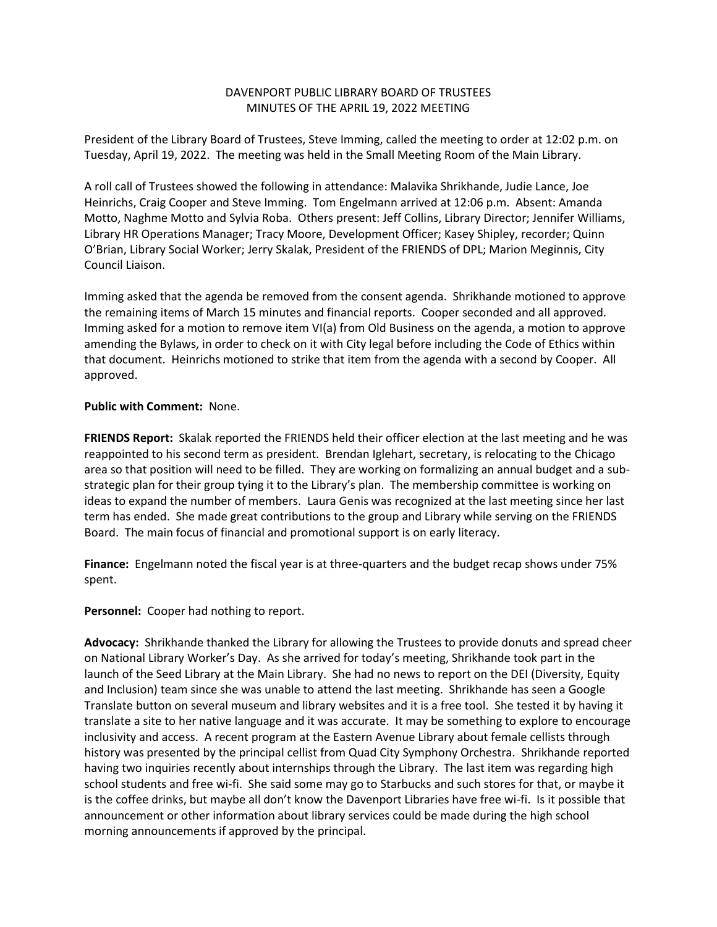## DAVENPORT PUBLIC LIBRARY BOARD OF TRUSTEES MINUTES OF THE APRIL 19, 2022 MEETING

President of the Library Board of Trustees, Steve Imming, called the meeting to order at 12:02 p.m. on Tuesday, April 19, 2022. The meeting was held in the Small Meeting Room of the Main Library.

A roll call of Trustees showed the following in attendance: Malavika Shrikhande, Judie Lance, Joe Heinrichs, Craig Cooper and Steve Imming. Tom Engelmann arrived at 12:06 p.m. Absent: Amanda Motto, Naghme Motto and Sylvia Roba. Others present: Jeff Collins, Library Director; Jennifer Williams, Library HR Operations Manager; Tracy Moore, Development Officer; Kasey Shipley, recorder; Quinn O'Brian, Library Social Worker; Jerry Skalak, President of the FRIENDS of DPL; Marion Meginnis, City Council Liaison.

Imming asked that the agenda be removed from the consent agenda. Shrikhande motioned to approve the remaining items of March 15 minutes and financial reports. Cooper seconded and all approved. Imming asked for a motion to remove item VI(a) from Old Business on the agenda, a motion to approve amending the Bylaws, in order to check on it with City legal before including the Code of Ethics within that document. Heinrichs motioned to strike that item from the agenda with a second by Cooper. All approved.

## **Public with Comment:** None.

**FRIENDS Report:** Skalak reported the FRIENDS held their officer election at the last meeting and he was reappointed to his second term as president. Brendan Iglehart, secretary, is relocating to the Chicago area so that position will need to be filled. They are working on formalizing an annual budget and a substrategic plan for their group tying it to the Library's plan. The membership committee is working on ideas to expand the number of members. Laura Genis was recognized at the last meeting since her last term has ended. She made great contributions to the group and Library while serving on the FRIENDS Board. The main focus of financial and promotional support is on early literacy.

**Finance:** Engelmann noted the fiscal year is at three-quarters and the budget recap shows under 75% spent.

**Personnel:** Cooper had nothing to report.

**Advocacy:** Shrikhande thanked the Library for allowing the Trustees to provide donuts and spread cheer on National Library Worker's Day. As she arrived for today's meeting, Shrikhande took part in the launch of the Seed Library at the Main Library. She had no news to report on the DEI (Diversity, Equity and Inclusion) team since she was unable to attend the last meeting. Shrikhande has seen a Google Translate button on several museum and library websites and it is a free tool. She tested it by having it translate a site to her native language and it was accurate. It may be something to explore to encourage inclusivity and access. A recent program at the Eastern Avenue Library about female cellists through history was presented by the principal cellist from Quad City Symphony Orchestra. Shrikhande reported having two inquiries recently about internships through the Library. The last item was regarding high school students and free wi-fi. She said some may go to Starbucks and such stores for that, or maybe it is the coffee drinks, but maybe all don't know the Davenport Libraries have free wi-fi. Is it possible that announcement or other information about library services could be made during the high school morning announcements if approved by the principal.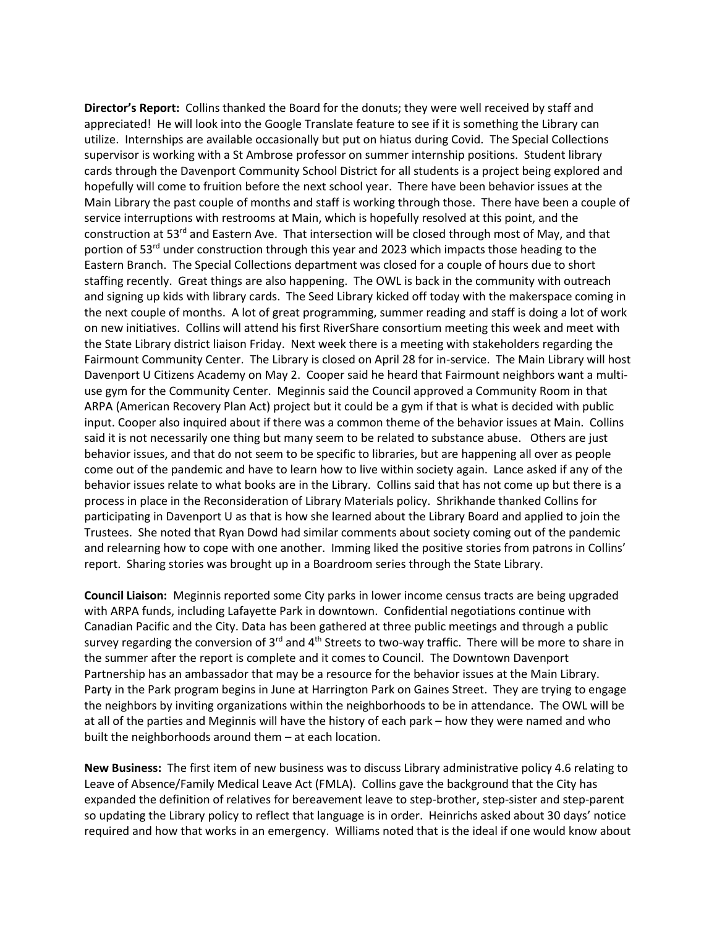**Director's Report:** Collins thanked the Board for the donuts; they were well received by staff and appreciated! He will look into the Google Translate feature to see if it is something the Library can utilize. Internships are available occasionally but put on hiatus during Covid. The Special Collections supervisor is working with a St Ambrose professor on summer internship positions. Student library cards through the Davenport Community School District for all students is a project being explored and hopefully will come to fruition before the next school year. There have been behavior issues at the Main Library the past couple of months and staff is working through those. There have been a couple of service interruptions with restrooms at Main, which is hopefully resolved at this point, and the construction at 53<sup>rd</sup> and Eastern Ave. That intersection will be closed through most of May, and that portion of 53<sup>rd</sup> under construction through this year and 2023 which impacts those heading to the Eastern Branch. The Special Collections department was closed for a couple of hours due to short staffing recently. Great things are also happening. The OWL is back in the community with outreach and signing up kids with library cards. The Seed Library kicked off today with the makerspace coming in the next couple of months. A lot of great programming, summer reading and staff is doing a lot of work on new initiatives. Collins will attend his first RiverShare consortium meeting this week and meet with the State Library district liaison Friday. Next week there is a meeting with stakeholders regarding the Fairmount Community Center. The Library is closed on April 28 for in-service. The Main Library will host Davenport U Citizens Academy on May 2. Cooper said he heard that Fairmount neighbors want a multiuse gym for the Community Center. Meginnis said the Council approved a Community Room in that ARPA (American Recovery Plan Act) project but it could be a gym if that is what is decided with public input. Cooper also inquired about if there was a common theme of the behavior issues at Main. Collins said it is not necessarily one thing but many seem to be related to substance abuse. Others are just behavior issues, and that do not seem to be specific to libraries, but are happening all over as people come out of the pandemic and have to learn how to live within society again. Lance asked if any of the behavior issues relate to what books are in the Library. Collins said that has not come up but there is a process in place in the Reconsideration of Library Materials policy. Shrikhande thanked Collins for participating in Davenport U as that is how she learned about the Library Board and applied to join the Trustees. She noted that Ryan Dowd had similar comments about society coming out of the pandemic and relearning how to cope with one another. Imming liked the positive stories from patrons in Collins' report. Sharing stories was brought up in a Boardroom series through the State Library.

**Council Liaison:** Meginnis reported some City parks in lower income census tracts are being upgraded with ARPA funds, including Lafayette Park in downtown. Confidential negotiations continue with Canadian Pacific and the City. Data has been gathered at three public meetings and through a public survey regarding the conversion of 3<sup>rd</sup> and 4<sup>th</sup> Streets to two-way traffic. There will be more to share in the summer after the report is complete and it comes to Council. The Downtown Davenport Partnership has an ambassador that may be a resource for the behavior issues at the Main Library. Party in the Park program begins in June at Harrington Park on Gaines Street. They are trying to engage the neighbors by inviting organizations within the neighborhoods to be in attendance. The OWL will be at all of the parties and Meginnis will have the history of each park – how they were named and who built the neighborhoods around them – at each location.

**New Business:** The first item of new business was to discuss Library administrative policy 4.6 relating to Leave of Absence/Family Medical Leave Act (FMLA). Collins gave the background that the City has expanded the definition of relatives for bereavement leave to step-brother, step-sister and step-parent so updating the Library policy to reflect that language is in order. Heinrichs asked about 30 days' notice required and how that works in an emergency. Williams noted that is the ideal if one would know about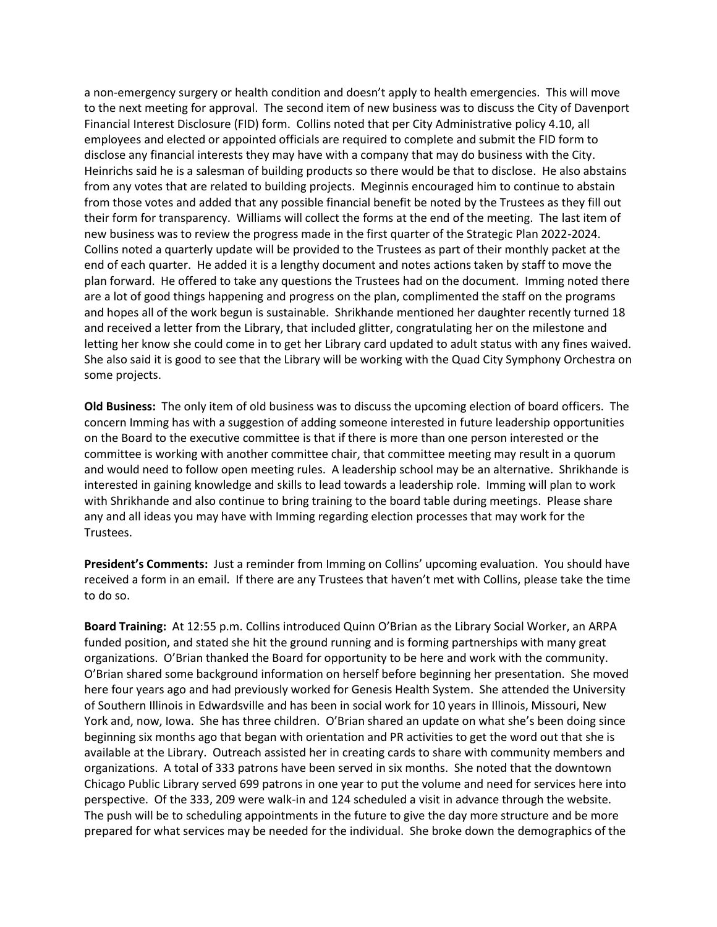a non-emergency surgery or health condition and doesn't apply to health emergencies. This will move to the next meeting for approval. The second item of new business was to discuss the City of Davenport Financial Interest Disclosure (FID) form. Collins noted that per City Administrative policy 4.10, all employees and elected or appointed officials are required to complete and submit the FID form to disclose any financial interests they may have with a company that may do business with the City. Heinrichs said he is a salesman of building products so there would be that to disclose. He also abstains from any votes that are related to building projects. Meginnis encouraged him to continue to abstain from those votes and added that any possible financial benefit be noted by the Trustees as they fill out their form for transparency. Williams will collect the forms at the end of the meeting. The last item of new business was to review the progress made in the first quarter of the Strategic Plan 2022-2024. Collins noted a quarterly update will be provided to the Trustees as part of their monthly packet at the end of each quarter. He added it is a lengthy document and notes actions taken by staff to move the plan forward. He offered to take any questions the Trustees had on the document. Imming noted there are a lot of good things happening and progress on the plan, complimented the staff on the programs and hopes all of the work begun is sustainable. Shrikhande mentioned her daughter recently turned 18 and received a letter from the Library, that included glitter, congratulating her on the milestone and letting her know she could come in to get her Library card updated to adult status with any fines waived. She also said it is good to see that the Library will be working with the Quad City Symphony Orchestra on some projects.

**Old Business:** The only item of old business was to discuss the upcoming election of board officers. The concern Imming has with a suggestion of adding someone interested in future leadership opportunities on the Board to the executive committee is that if there is more than one person interested or the committee is working with another committee chair, that committee meeting may result in a quorum and would need to follow open meeting rules. A leadership school may be an alternative. Shrikhande is interested in gaining knowledge and skills to lead towards a leadership role. Imming will plan to work with Shrikhande and also continue to bring training to the board table during meetings. Please share any and all ideas you may have with Imming regarding election processes that may work for the Trustees.

**President's Comments:** Just a reminder from Imming on Collins' upcoming evaluation. You should have received a form in an email. If there are any Trustees that haven't met with Collins, please take the time to do so.

**Board Training:** At 12:55 p.m. Collins introduced Quinn O'Brian as the Library Social Worker, an ARPA funded position, and stated she hit the ground running and is forming partnerships with many great organizations. O'Brian thanked the Board for opportunity to be here and work with the community. O'Brian shared some background information on herself before beginning her presentation. She moved here four years ago and had previously worked for Genesis Health System. She attended the University of Southern Illinois in Edwardsville and has been in social work for 10 years in Illinois, Missouri, New York and, now, Iowa. She has three children. O'Brian shared an update on what she's been doing since beginning six months ago that began with orientation and PR activities to get the word out that she is available at the Library. Outreach assisted her in creating cards to share with community members and organizations. A total of 333 patrons have been served in six months. She noted that the downtown Chicago Public Library served 699 patrons in one year to put the volume and need for services here into perspective. Of the 333, 209 were walk-in and 124 scheduled a visit in advance through the website. The push will be to scheduling appointments in the future to give the day more structure and be more prepared for what services may be needed for the individual. She broke down the demographics of the